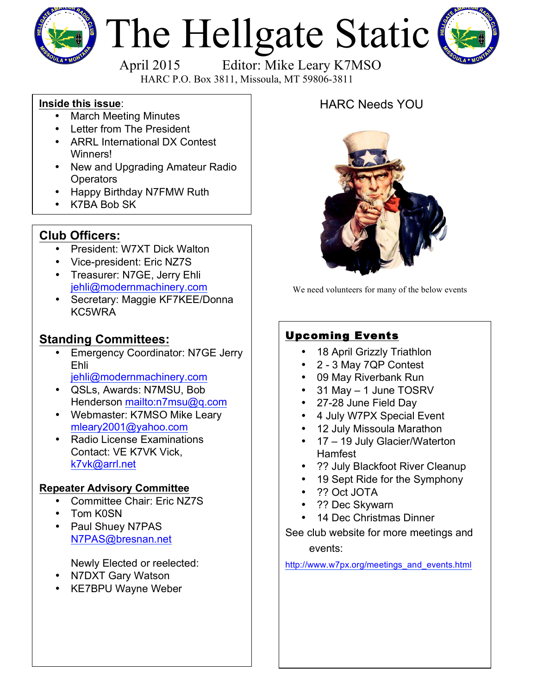

# The Hellgate Static



April 2015 Editor: Mike Leary K7MSO

HARC P.O. Box 3811, Missoula, MT 59806-3811

**Inside this issue**:

- March Meeting Minutes
- Letter from The President
- ARRL International DX Contest Winners!
- New and Upgrading Amateur Radio **Operators**
- Happy Birthday N7FMW Ruth
- K7BA Bob SK

## **Club Officers:**

•

- President: W7XT Dick Walton
- Vice-president: Eric NZ7S
- Treasurer: N7GE, Jerry Ehli jehli@modernmachinery.com
- Secretary: Maggie KF7KEE/Donna KC5WRA

## **Standing Committees:**

- Emergency Coordinator: N7GE Jerry Ehli
	- jehli@modernmachinery.com
- QSLs, Awards: N7MSU, Bob Henderson mailto:n7msu@q.com
- Webmaster: K7MSO Mike Leary mleary2001@yahoo.com
- Radio License Examinations Contact: VE K7VK Vick, k7vk@arrl.net

## **Repeater Advisory Committee**

- Committee Chair: Eric NZ7S
- Tom K0SN
- Paul Shuey N7PAS N7PAS@bresnan.net

Newly Elected or reelected:

- N7DXT Gary Watson
- KE7BPU Wayne Weber

# HARC Needs YOU



We need volunteers for many of the below events

## Upcoming Events

- 18 April Grizzly Triathlon
- 2 3 May 7QP Contest
- 09 May Riverbank Run
- 31 May 1 June TOSRV
- 27-28 June Field Day
- 4 July W7PX Special Event
- 12 July Missoula Marathon
- 17 19 July Glacier/Waterton **Hamfest**
- ?? July Blackfoot River Cleanup
- 19 Sept Ride for the Symphony
- ?? Oct JOTA
- ?? Dec Skywarn
- 14 Dec Christmas Dinner
- See club website for more meetings and events:

http://www.w7px.org/meetings\_and\_events.html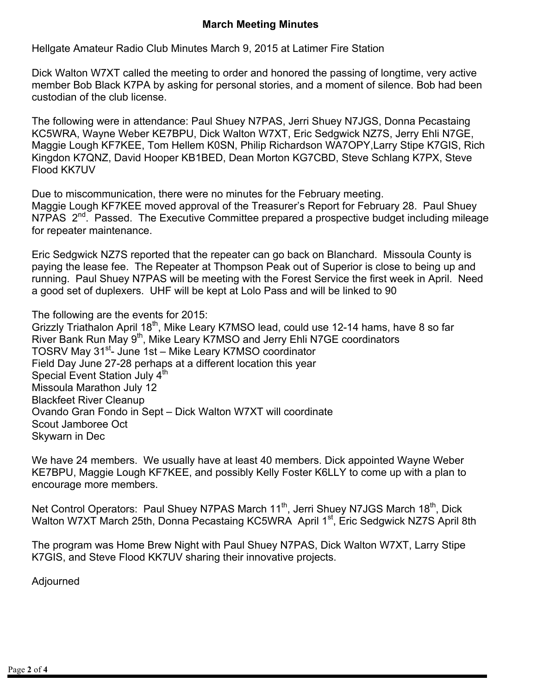#### **March Meeting Minutes**

Hellgate Amateur Radio Club Minutes March 9, 2015 at Latimer Fire Station

Dick Walton W7XT called the meeting to order and honored the passing of longtime, very active member Bob Black K7PA by asking for personal stories, and a moment of silence. Bob had been custodian of the club license.

The following were in attendance: Paul Shuey N7PAS, Jerri Shuey N7JGS, Donna Pecastaing KC5WRA, Wayne Weber KE7BPU, Dick Walton W7XT, Eric Sedgwick NZ7S, Jerry Ehli N7GE, Maggie Lough KF7KEE, Tom Hellem K0SN, Philip Richardson WA7OPY,Larry Stipe K7GIS, Rich Kingdon K7QNZ, David Hooper KB1BED, Dean Morton KG7CBD, Steve Schlang K7PX, Steve Flood KK7UV

Due to miscommunication, there were no minutes for the February meeting. Maggie Lough KF7KEE moved approval of the Treasurer's Report for February 28. Paul Shuey N7PAS 2<sup>nd</sup>. Passed. The Executive Committee prepared a prospective budget including mileage for repeater maintenance.

Eric Sedgwick NZ7S reported that the repeater can go back on Blanchard. Missoula County is paying the lease fee. The Repeater at Thompson Peak out of Superior is close to being up and running. Paul Shuey N7PAS will be meeting with the Forest Service the first week in April. Need a good set of duplexers. UHF will be kept at Lolo Pass and will be linked to 90

The following are the events for 2015:

Grizzly Triathalon April 18<sup>th</sup>, Mike Leary K7MSO lead, could use 12-14 hams, have 8 so far River Bank Run May 9<sup>th</sup>, Mike Leary K7MSO and Jerry Ehli N7GE coordinators TOSRV May 31<sup>st</sup>- June 1st – Mike Leary K7MSO coordinator Field Day June 27-28 perhaps at a different location this year Special Event Station July 4<sup>th</sup> Missoula Marathon July 12 Blackfeet River Cleanup Ovando Gran Fondo in Sept – Dick Walton W7XT will coordinate Scout Jamboree Oct Skywarn in Dec

We have 24 members. We usually have at least 40 members. Dick appointed Wayne Weber KE7BPU, Maggie Lough KF7KEE, and possibly Kelly Foster K6LLY to come up with a plan to encourage more members.

Net Control Operators: Paul Shuey N7PAS March 11<sup>th</sup>, Jerri Shuey N7JGS March 18<sup>th</sup>, Dick Walton W7XT March 25th, Donna Pecastaing KC5WRA April 1<sup>st</sup>, Eric Sedgwick NZ7S April 8th

The program was Home Brew Night with Paul Shuey N7PAS, Dick Walton W7XT, Larry Stipe K7GIS, and Steve Flood KK7UV sharing their innovative projects.

Adjourned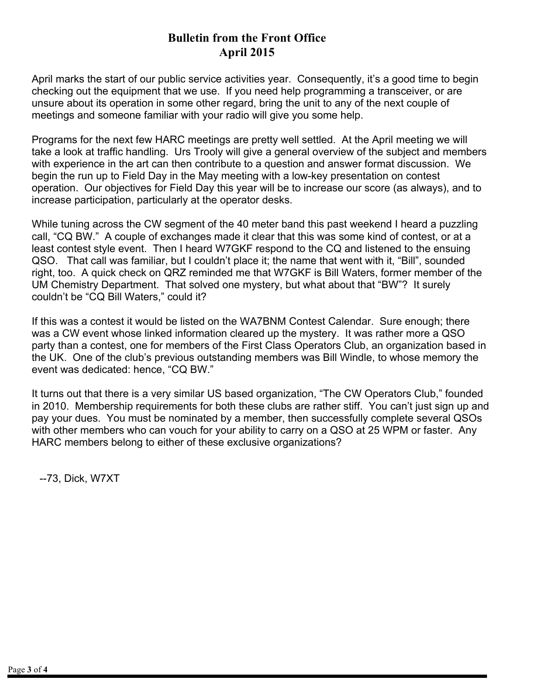### **Bulletin from the Front Office April 2015**

April marks the start of our public service activities year. Consequently, it's a good time to begin checking out the equipment that we use. If you need help programming a transceiver, or are unsure about its operation in some other regard, bring the unit to any of the next couple of meetings and someone familiar with your radio will give you some help.

Programs for the next few HARC meetings are pretty well settled. At the April meeting we will take a look at traffic handling. Urs Trooly will give a general overview of the subject and members with experience in the art can then contribute to a question and answer format discussion. We begin the run up to Field Day in the May meeting with a low-key presentation on contest operation. Our objectives for Field Day this year will be to increase our score (as always), and to increase participation, particularly at the operator desks.

While tuning across the CW segment of the 40 meter band this past weekend I heard a puzzling call, "CQ BW." A couple of exchanges made it clear that this was some kind of contest, or at a least contest style event. Then I heard W7GKF respond to the CQ and listened to the ensuing QSO. That call was familiar, but I couldn't place it; the name that went with it, "Bill", sounded right, too. A quick check on QRZ reminded me that W7GKF is Bill Waters, former member of the UM Chemistry Department. That solved one mystery, but what about that "BW"? It surely couldn't be "CQ Bill Waters," could it?

If this was a contest it would be listed on the WA7BNM Contest Calendar. Sure enough; there was a CW event whose linked information cleared up the mystery. It was rather more a QSO party than a contest, one for members of the First Class Operators Club, an organization based in the UK. One of the club's previous outstanding members was Bill Windle, to whose memory the event was dedicated: hence, "CQ BW."

It turns out that there is a very similar US based organization, "The CW Operators Club," founded in 2010. Membership requirements for both these clubs are rather stiff. You can't just sign up and pay your dues. You must be nominated by a member, then successfully complete several QSOs with other members who can vouch for your ability to carry on a QSO at 25 WPM or faster. Any HARC members belong to either of these exclusive organizations?

--73, Dick, W7XT